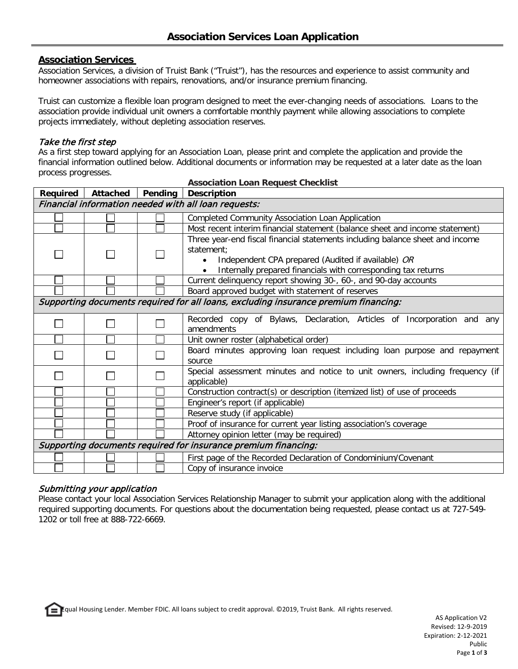### **Association Services**

Association Services, a division of Truist Bank ("Truist"), has the resources and experience to assist community and homeowner associations with repairs, renovations, and/or insurance premium financing.

Truist can customize a flexible loan program designed to meet the ever-changing needs of associations. Loans to the association provide individual unit owners a comfortable monthly payment while allowing associations to complete projects immediately, without depleting association reserves.

#### Take the first step

As a first step toward applying for an Association Loan, please print and complete the application and provide the financial information outlined below. Additional documents or information may be requested at a later date as the loan process progresses.

|                                                                                     |                                                                |  | Required   Attached   Pending   Description                                                                                                                                                                        |  |  |  |
|-------------------------------------------------------------------------------------|----------------------------------------------------------------|--|--------------------------------------------------------------------------------------------------------------------------------------------------------------------------------------------------------------------|--|--|--|
| Financial information needed with all loan requests:                                |                                                                |  |                                                                                                                                                                                                                    |  |  |  |
|                                                                                     |                                                                |  | <b>Completed Community Association Loan Application</b>                                                                                                                                                            |  |  |  |
|                                                                                     |                                                                |  | Most recent interim financial statement (balance sheet and income statement)                                                                                                                                       |  |  |  |
|                                                                                     |                                                                |  | Three year-end fiscal financial statements including balance sheet and income<br>statement:<br>Independent CPA prepared (Audited if available) OR<br>Internally prepared financials with corresponding tax returns |  |  |  |
|                                                                                     |                                                                |  | Current delinquency report showing 30-, 60-, and 90-day accounts                                                                                                                                                   |  |  |  |
|                                                                                     |                                                                |  | Board approved budget with statement of reserves                                                                                                                                                                   |  |  |  |
| Supporting documents required for all loans, excluding insurance premium financing: |                                                                |  |                                                                                                                                                                                                                    |  |  |  |
|                                                                                     |                                                                |  | Recorded copy of Bylaws, Declaration, Articles of Incorporation and any<br>amendments                                                                                                                              |  |  |  |
|                                                                                     |                                                                |  | Unit owner roster (alphabetical order)                                                                                                                                                                             |  |  |  |
|                                                                                     |                                                                |  | Board minutes approving loan request including loan purpose and repayment<br>source                                                                                                                                |  |  |  |
|                                                                                     |                                                                |  | Special assessment minutes and notice to unit owners, including frequency (if<br>applicable)                                                                                                                       |  |  |  |
|                                                                                     |                                                                |  | Construction contract(s) or description (itemized list) of use of proceeds                                                                                                                                         |  |  |  |
|                                                                                     |                                                                |  | Engineer's report (if applicable)                                                                                                                                                                                  |  |  |  |
|                                                                                     |                                                                |  | Reserve study (if applicable)                                                                                                                                                                                      |  |  |  |
|                                                                                     |                                                                |  | Proof of insurance for current year listing association's coverage                                                                                                                                                 |  |  |  |
|                                                                                     |                                                                |  | Attorney opinion letter (may be required)                                                                                                                                                                          |  |  |  |
|                                                                                     | Supporting documents required for insurance premium financing: |  |                                                                                                                                                                                                                    |  |  |  |
|                                                                                     |                                                                |  | First page of the Recorded Declaration of Condominium/Covenant                                                                                                                                                     |  |  |  |
|                                                                                     |                                                                |  | Copy of insurance invoice                                                                                                                                                                                          |  |  |  |

## **Association Loan Request Checklist**

# Submitting your application

Please contact your local Association Services Relationship Manager to submit your application along with the additional required supporting documents. For questions about the documentation being requested, please contact us at 727-549- 1202 or toll free at 888-722-6669.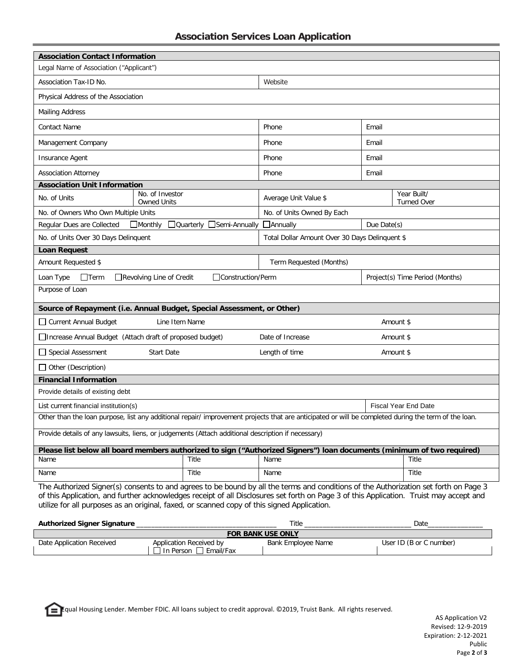|  |  |  | <b>Association Services Loan Application</b> |
|--|--|--|----------------------------------------------|
|--|--|--|----------------------------------------------|

| <b>Association Contact Information</b>                                                                                                                                                                                                                                                                                                                                         |                               |                                                |                                 |                                   |  |  |  |
|--------------------------------------------------------------------------------------------------------------------------------------------------------------------------------------------------------------------------------------------------------------------------------------------------------------------------------------------------------------------------------|-------------------------------|------------------------------------------------|---------------------------------|-----------------------------------|--|--|--|
| Legal Name of Association ("Applicant")                                                                                                                                                                                                                                                                                                                                        |                               |                                                |                                 |                                   |  |  |  |
| Association Tax-ID No.                                                                                                                                                                                                                                                                                                                                                         |                               | Website                                        |                                 |                                   |  |  |  |
| Physical Address of the Association                                                                                                                                                                                                                                                                                                                                            |                               |                                                |                                 |                                   |  |  |  |
| <b>Mailing Address</b>                                                                                                                                                                                                                                                                                                                                                         |                               |                                                |                                 |                                   |  |  |  |
| <b>Contact Name</b>                                                                                                                                                                                                                                                                                                                                                            |                               | Phone                                          | Email                           |                                   |  |  |  |
| Management Company                                                                                                                                                                                                                                                                                                                                                             | Phone                         | Email                                          |                                 |                                   |  |  |  |
| Insurance Agent                                                                                                                                                                                                                                                                                                                                                                | Phone                         | Email                                          |                                 |                                   |  |  |  |
| <b>Association Attorney</b>                                                                                                                                                                                                                                                                                                                                                    |                               | Phone                                          | Email                           |                                   |  |  |  |
| <b>Association Unit Information</b>                                                                                                                                                                                                                                                                                                                                            |                               |                                                |                                 |                                   |  |  |  |
| No. of Investor<br>No. of Units<br><b>Owned Units</b>                                                                                                                                                                                                                                                                                                                          |                               | Average Unit Value \$                          |                                 | Year Built/<br><b>Turned Over</b> |  |  |  |
| No. of Owners Who Own Multiple Units                                                                                                                                                                                                                                                                                                                                           |                               | No. of Units Owned By Each                     |                                 |                                   |  |  |  |
| Regular Dues are Collected<br>$\Box$ Monthly                                                                                                                                                                                                                                                                                                                                   | □Quarterly<br>Semi-Annually   | <b>Annually</b>                                | Due Date(s)                     |                                   |  |  |  |
| No. of Units Over 30 Days Delinquent                                                                                                                                                                                                                                                                                                                                           |                               | Total Dollar Amount Over 30 Days Delinquent \$ |                                 |                                   |  |  |  |
| <b>Loan Request</b>                                                                                                                                                                                                                                                                                                                                                            |                               |                                                |                                 |                                   |  |  |  |
| Amount Requested \$                                                                                                                                                                                                                                                                                                                                                            |                               | Term Requested (Months)                        |                                 |                                   |  |  |  |
| $\Box$ Term<br>Loan Type<br>Revolving Line of Credit                                                                                                                                                                                                                                                                                                                           | □Construction/Perm            |                                                | Project(s) Time Period (Months) |                                   |  |  |  |
| Purpose of Loan                                                                                                                                                                                                                                                                                                                                                                |                               |                                                |                                 |                                   |  |  |  |
| Source of Repayment (i.e. Annual Budget, Special Assessment, or Other)                                                                                                                                                                                                                                                                                                         |                               |                                                |                                 |                                   |  |  |  |
| Current Annual Budget                                                                                                                                                                                                                                                                                                                                                          | Line Item Name                |                                                |                                 | Amount \$                         |  |  |  |
| □ Increase Annual Budget (Attach draft of proposed budget)                                                                                                                                                                                                                                                                                                                     | Date of Increase<br>Amount \$ |                                                |                                 |                                   |  |  |  |
| Special Assessment<br><b>Start Date</b>                                                                                                                                                                                                                                                                                                                                        | Length of time<br>Amount \$   |                                                |                                 |                                   |  |  |  |
| Other (Description)                                                                                                                                                                                                                                                                                                                                                            |                               |                                                |                                 |                                   |  |  |  |
| <b>Financial Information</b>                                                                                                                                                                                                                                                                                                                                                   |                               |                                                |                                 |                                   |  |  |  |
| Provide details of existing debt                                                                                                                                                                                                                                                                                                                                               |                               |                                                |                                 |                                   |  |  |  |
| <b>Fiscal Year End Date</b><br>List current financial institution(s)                                                                                                                                                                                                                                                                                                           |                               |                                                |                                 |                                   |  |  |  |
| Other than the loan purpose, list any additional repair/improvement projects that are anticipated or will be completed during the term of the loan.                                                                                                                                                                                                                            |                               |                                                |                                 |                                   |  |  |  |
| Provide details of any lawsuits, liens, or judgements (Attach additional description if necessary)                                                                                                                                                                                                                                                                             |                               |                                                |                                 |                                   |  |  |  |
| Please list below all board members authorized to sign ("Authorized Signers") loan documents (minimum of two required)                                                                                                                                                                                                                                                         |                               |                                                |                                 |                                   |  |  |  |
| Name                                                                                                                                                                                                                                                                                                                                                                           | Title                         | Name                                           |                                 | Title                             |  |  |  |
| Name                                                                                                                                                                                                                                                                                                                                                                           | Title                         | Name                                           |                                 | Title                             |  |  |  |
| The Authorized Signer(s) consents to and agrees to be bound by all the terms and conditions of the Authorization set forth on Page 3<br>of this Application, and further acknowledges receipt of all Disclosures set forth on Page 3 of this Application. Truist may accept and<br>utilize for all purposes as an original, faxed, or scanned copy of this signed Application. |                               |                                                |                                 |                                   |  |  |  |

| Authorized Signer Signature |                           | Title              | Date                    |  |  |  |  |  |
|-----------------------------|---------------------------|--------------------|-------------------------|--|--|--|--|--|
| <b>FOR BANK USE ONLY</b>    |                           |                    |                         |  |  |  |  |  |
| Date Application Received   | Application Received by   | Bank Employee Name | User ID (B or C number) |  |  |  |  |  |
|                             | Email/Fax<br>⊥In Person I |                    |                         |  |  |  |  |  |

Equal Housing Lender. Member FDIC. All loans subject to credit approval. ©2019, Truist Bank. All rights reserved.